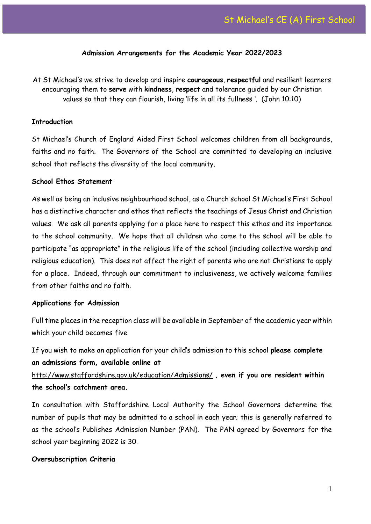#### **Admission Arrangements for the Academic Year 2022/2023**

At St Michael's we strive to develop and inspire **courageous**, **respectful** and resilient learners encouraging them to **serve** with **kindness**, **respect** and tolerance guided by our Christian values so that they can flourish, living 'life in all its fullness '. (John 10:10)

#### **Introduction**

St Michael's Church of England Aided First School welcomes children from all backgrounds, faiths and no faith. The Governors of the School are committed to developing an inclusive school that reflects the diversity of the local community.

#### **School Ethos Statement**

As well as being an inclusive neighbourhood school, as a Church school St Michael's First School has a distinctive character and ethos that reflects the teachings of Jesus Christ and Christian values. We ask all parents applying for a place here to respect this ethos and its importance to the school community. We hope that all children who come to the school will be able to participate "as appropriate" in the religious life of the school (including collective worship and religious education). This does not affect the right of parents who are not Christians to apply for a place. Indeed, through our commitment to inclusiveness, we actively welcome families from other faiths and no faith.

#### **Applications for Admission**

Full time places in the reception class will be available in September of the academic year within which your child becomes five.

If you wish to make an application for your child's admission to this school **please complete an admissions form, available online at**  <http://www.staffordshire.gov.uk/education/Admissions/> **, even if you are resident within the school's catchment area.**

In consultation with Staffordshire Local Authority the School Governors determine the number of pupils that may be admitted to a school in each year; this is generally referred to as the school's Publishes Admission Number (PAN). The PAN agreed by Governors for the school year beginning 2022 is 30.

#### **Oversubscription Criteria**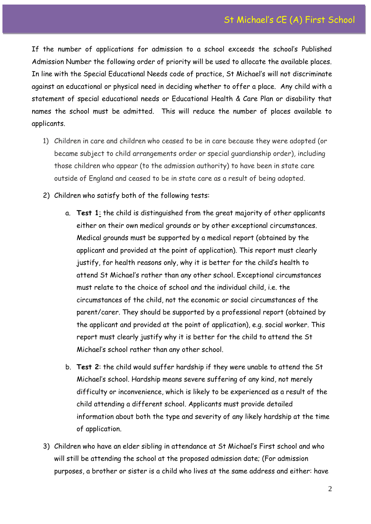If the number of applications for admission to a school exceeds the school's Published Admission Number the following order of priority will be used to allocate the available places. In line with the Special Educational Needs code of practice, St Michael's will not discriminate against an educational or physical need in deciding whether to offer a place. Any child with a statement of special educational needs or Educational Health & Care Plan or disability that names the school must be admitted. This will reduce the number of places available to applicants.

- 1) Children in care and children who ceased to be in care because they were adopted (or became subject to child arrangements order or special guardianship order)*,* including those children who appear (to the admission authority) to have been in state care outside of England and ceased to be in state care as a result of being adopted.
- 2) Children who satisfy both of the following tests:
	- a. **Test 1**: the child is distinguished from the great majority of other applicants either on their own medical grounds or by other exceptional circumstances. Medical grounds must be supported by a medical report (obtained by the applicant and provided at the point of application). This report must clearly justify, for health reasons only, why it is better for the child's health to attend St Michael's rather than any other school. Exceptional circumstances must relate to the choice of school and the individual child, i.e. the circumstances of the child, not the economic or social circumstances of the parent/carer. They should be supported by a professional report (obtained by the applicant and provided at the point of application), e.g. social worker. This report must clearly justify why it is better for the child to attend the St Michael's school rather than any other school.
	- b. **Test 2**: the child would suffer hardship if they were unable to attend the St Michael's school. Hardship means severe suffering of any kind, not merely difficulty or inconvenience, which is likely to be experienced as a result of the child attending a different school. Applicants must provide detailed information about both the type and severity of any likely hardship at the time of application.
- 3) Children who have an elder sibling in attendance at St Michael's First school and who will still be attending the school at the proposed admission date; (For admission purposes, a brother or sister is a child who lives at the same address and either: have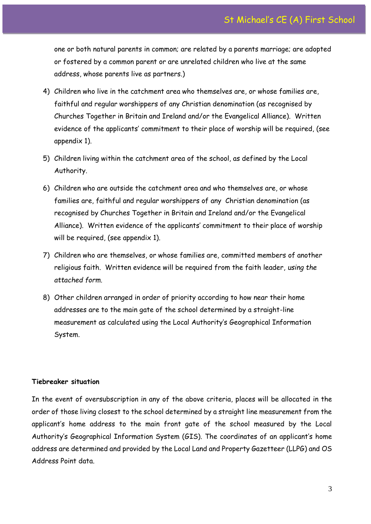one or both natural parents in common; are related by a parents marriage; are adopted or fostered by a common parent or are unrelated children who live at the same address, whose parents live as partners.)

- 4) Children who live in the catchment area who themselves are, or whose families are, faithful and regular worshippers of any Christian denomination (as recognised by Churches Together in Britain and Ireland and/or the Evangelical Alliance). Written evidence of the applicants' commitment to their place of worship will be required, (see appendix 1).
- 5) Children living within the catchment area of the school, as defined by the Local Authority.
- 6) Children who are outside the catchment area and who themselves are, or whose families are, faithful and regular worshippers of any Christian denomination (as recognised by Churches Together in Britain and Ireland and/or the Evangelical Alliance). Written evidence of the applicants' commitment to their place of worship will be required, (see appendix 1).
- 7) Children who are themselves, or whose families are, committed members of another religious faith. Written evidence will be required from the faith leader, *using the attached form.*
- 8) Other children arranged in order of priority according to how near their home addresses are to the main gate of the school determined by a straight-line measurement as calculated using the Local Authority's Geographical Information System.

#### **Tiebreaker situation**

In the event of oversubscription in any of the above criteria, places will be allocated in the order of those living closest to the school determined by a straight line measurement from the applicant's home address to the main front gate of the school measured by the Local Authority's Geographical Information System (GIS). The coordinates of an applicant's home address are determined and provided by the Local Land and Property Gazetteer (LLPG) and OS Address Point data.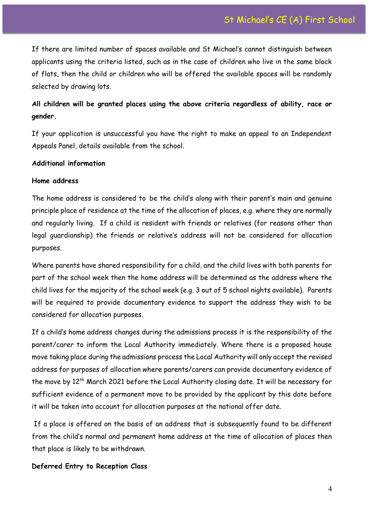If there are limited number of spaces available and St Michael's cannot distinguish between applicants using the criteria listed, such as in the case of children who live in the same block of flats, then the child or children who will be offered the available spaces will be randomly selected by drawing lots.

# **All children will be granted places using the above criteria regardless of ability, race or gender.**

If your application is unsuccessful you have the right to make an appeal to an Independent Appeals Panel, details available from the school.

### **Additional information**

#### **Home address**

The home address is considered to be the child's along with their parent's main and genuine principle place of residence at the time of the allocation of places, e.g. where they are normally and regularly living. If a child is resident with friends or relatives (for reasons other than legal guardianship) the friends or relative's address will not be considered for allocation purposes.

Where parents have shared responsibility for a child, and the child lives with both parents for part of the school week then the home address will be determined as the address where the child lives for the majority of the school week (e.g. 3 out of 5 school nights available). Parents will be required to provide documentary evidence to support the address they wish to be considered for allocation purposes.

If a child's home address changes during the admissions process it is the responsibility of the parent/carer to inform the Local Authority immediately. Where there is a proposed house move taking place during the admissions process the Local Authority will only accept the revised address for purposes of allocation where parents/carers can provide documentary evidence of the move by 12<sup>th</sup> March 2021 before the Local Authority closing date. It will be necessary for sufficient evidence of a permanent move to be provided by the applicant by this date before it will be taken into account for allocation purposes at the national offer date.

If a place is offered on the basis of an address that is subsequently found to be different from the child's normal and permanent home address at the time of allocation of places then that place is likely to be withdrawn.

#### **Deferred Entry to Reception Class**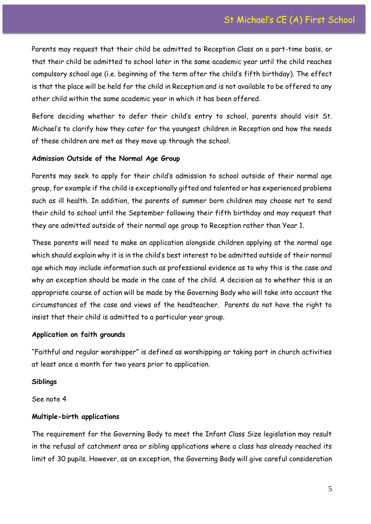Parents may request that their child be admitted to Reception Class on a part-time basis, or that their child be admitted to school later in the same academic year until the child reaches compulsory school age (i.e. beginning of the term after the child's fifth birthday). The effect is that the place will be held for the child in Reception and is not available to be offered to any other child within the same academic year in which it has been offered.

Before deciding whether to defer their child's entry to school, parents should visit St. Michael's to clarify how they cater for the youngest children in Reception and how the needs of these children are met as they move up through the school.

### **Admission Outside of the Normal Age Group**

Parents may seek to apply for their child's admission to school outside of their normal age group, for example if the child is exceptionally gifted and talented or has experienced problems such as ill health. In addition, the parents of summer born children may choose not to send their child to school until the September following their fifth birthday and may request that they are admitted outside of their normal age group to Reception rather than Year 1.

These parents will need to make an application alongside children applying at the normal age which should explain why it is in the child's best interest to be admitted outside of their normal age which may include information such as professional evidence as to why this is the case and why an exception should be made in the case of the child. A decision as to whether this is an appropriate course of action will be made by the Governing Body who will take into account the circumstances of the case and views of the headteacher. Parents do not have the right to insist that their child is admitted to a particular year group.

# **Application on faith grounds**

"Faithful and regular worshipper" is defined as worshipping or taking part in church activities at least once a month for two years prior to application.

# **Siblings**

See note 4

# **Multiple-birth applications**

The requirement for the Governing Body to meet the Infant Class Size legislation may result in the refusal of catchment area or sibling applications where a class has already reached its limit of 30 pupils. However, as an exception, the Governing Body will give careful consideration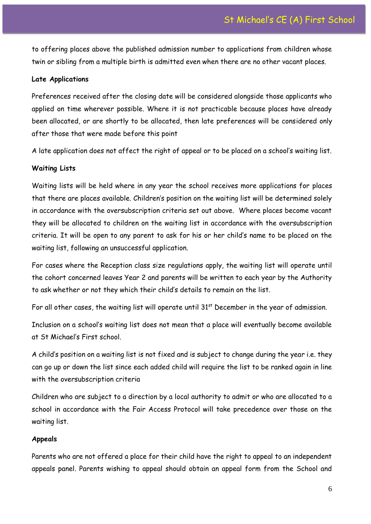to offering places above the published admission number to applications from children whose twin or sibling from a multiple birth is admitted even when there are no other vacant places.

# **Late Applications**

Preferences received after the closing date will be considered alongside those applicants who applied on time wherever possible. Where it is not practicable because places have already been allocated, or are shortly to be allocated, then late preferences will be considered only after those that were made before this point

A late application does not affect the right of appeal or to be placed on a school's waiting list.

# **Waiting Lists**

Waiting lists will be held where in any year the school receives more applications for places that there are places available. Children's position on the waiting list will be determined solely in accordance with the oversubscription criteria set out above. Where places become vacant they will be allocated to children on the waiting list in accordance with the oversubscription criteria. It will be open to any parent to ask for his or her child's name to be placed on the waiting list, following an unsuccessful application.

For cases where the Reception class size regulations apply, the waiting list will operate until the cohort concerned leaves Year 2 and parents will be written to each year by the Authority to ask whether or not they which their child's details to remain on the list.

For all other cases, the waiting list will operate until  $31<sup>st</sup>$  December in the year of admission.

Inclusion on a school's waiting list does not mean that a place will eventually become available at St Michael's First school.

A child's position on a waiting list is not fixed and is subject to change during the year i.e. they can go up or down the list since each added child will require the list to be ranked again in line with the oversubscription criteria

Children who are subject to a direction by a local authority to admit or who are allocated to a school in accordance with the Fair Access Protocol will take precedence over those on the waiting list.

# **Appeals**

Parents who are not offered a place for their child have the right to appeal to an independent appeals panel. Parents wishing to appeal should obtain an appeal form from the School and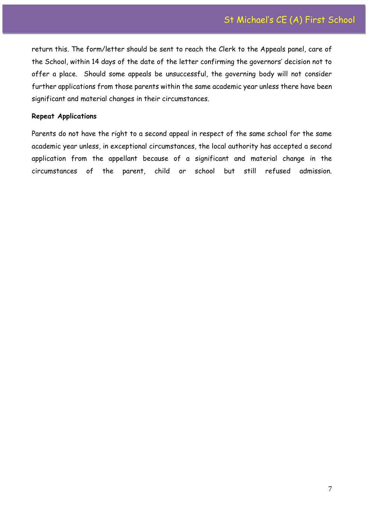return this. The form/letter should be sent to reach the Clerk to the Appeals panel, care of the School, within 14 days of the date of the letter confirming the governors' decision not to offer a place. Should some appeals be unsuccessful, the governing body will not consider further applications from those parents within the same academic year unless there have been significant and material changes in their circumstances.

#### **Repeat Applications**

Parents do not have the right to a second appeal in respect of the same school for the same academic year unless, in exceptional circumstances, the local authority has accepted a second application from the appellant because of a significant and material change in the circumstances of the parent, child or school but still refused admission.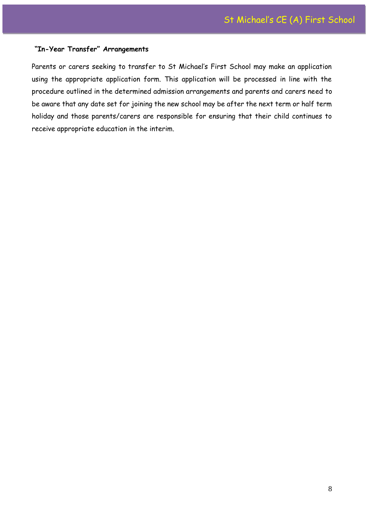#### **"In-Year Transfer" Arrangements**

Parents or carers seeking to transfer to St Michael's First School may make an application using the appropriate application form. This application will be processed in line with the procedure outlined in the determined admission arrangements and parents and carers need to be aware that any date set for joining the new school may be after the next term or half term holiday and those parents/carers are responsible for ensuring that their child continues to receive appropriate education in the interim.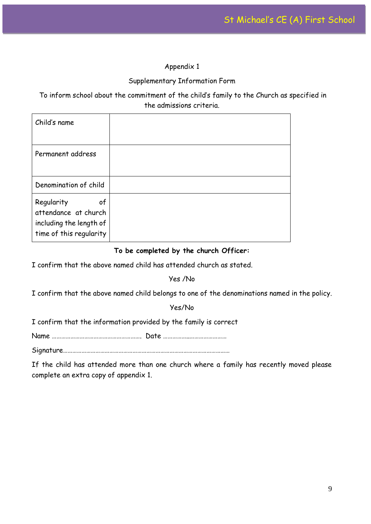# Appendix 1

# Supplementary Information Form

To inform school about the commitment of the child's family to the Church as specified in the admissions criteria.

| Child's name                                                                                   |  |
|------------------------------------------------------------------------------------------------|--|
| Permanent address                                                                              |  |
| Denomination of child                                                                          |  |
| Regularity<br>of<br>attendance at church<br>including the length of<br>time of this regularity |  |

# **To be completed by the church Officer:**

I confirm that the above named child has attended church as stated.

Yes /No

I confirm that the above named child belongs to one of the denominations named in the policy.

Yes/No

I confirm that the information provided by the family is correct

Name …………………………………………………. Date ……………..……………………

Signature………………………………………………………………………………………………

If the child has attended more than one church where a family has recently moved please complete an extra copy of appendix 1.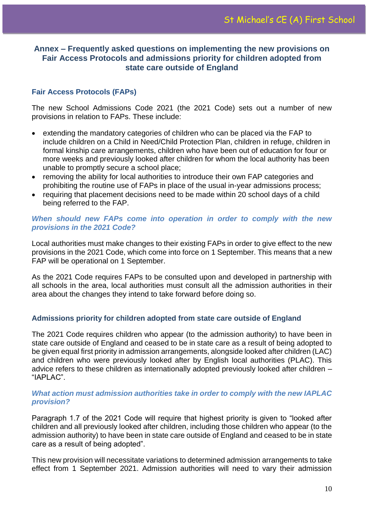# **Annex – Frequently asked questions on implementing the new provisions on Fair Access Protocols and admissions priority for children adopted from state care outside of England**

# **Fair Access Protocols (FAPs)**

The new School Admissions Code 2021 (the 2021 Code) sets out a number of new provisions in relation to FAPs. These include:

- extending the mandatory categories of children who can be placed via the FAP to include children on a Child in Need/Child Protection Plan, children in refuge, children in formal kinship care arrangements, children who have been out of education for four or more weeks and previously looked after children for whom the local authority has been unable to promptly secure a school place;
- removing the ability for local authorities to introduce their own FAP categories and prohibiting the routine use of FAPs in place of the usual in-year admissions process;
- requiring that placement decisions need to be made within 20 school days of a child being referred to the FAP.

# *When should new FAPs come into operation in order to comply with the new provisions in the 2021 Code?*

Local authorities must make changes to their existing FAPs in order to give effect to the new provisions in the 2021 Code, which come into force on 1 September. This means that a new FAP will be operational on 1 September.

As the 2021 Code requires FAPs to be consulted upon and developed in partnership with all schools in the area, local authorities must consult all the admission authorities in their area about the changes they intend to take forward before doing so.

# **Admissions priority for children adopted from state care outside of England**

The 2021 Code requires children who appear (to the admission authority) to have been in state care outside of England and ceased to be in state care as a result of being adopted to be given equal first priority in admission arrangements, alongside looked after children (LAC) and children who were previously looked after by English local authorities (PLAC). This advice refers to these children as internationally adopted previously looked after children – "IAPLAC".

# *What action must admission authorities take in order to comply with the new IAPLAC provision?*

Paragraph 1.7 of the 2021 Code will require that highest priority is given to "looked after children and all previously looked after children, including those children who appear (to the admission authority) to have been in state care outside of England and ceased to be in state care as a result of being adopted".

This new provision will necessitate variations to determined admission arrangements to take effect from 1 September 2021. Admission authorities will need to vary their admission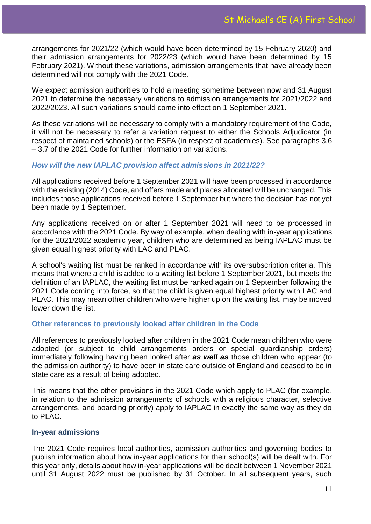arrangements for 2021/22 (which would have been determined by 15 February 2020) and their admission arrangements for 2022/23 (which would have been determined by 15 February 2021). Without these variations, admission arrangements that have already been determined will not comply with the 2021 Code.

We expect admission authorities to hold a meeting sometime between now and 31 August 2021 to determine the necessary variations to admission arrangements for 2021/2022 and 2022/2023. All such variations should come into effect on 1 September 2021.

As these variations will be necessary to comply with a mandatory requirement of the Code, it will not be necessary to refer a variation request to either the Schools Adjudicator (in respect of maintained schools) or the ESFA (in respect of academies). See paragraphs 3.6 – 3.7 of the 2021 Code for further information on variations.

# *How will the new IAPLAC provision affect admissions in 2021/22?*

All applications received before 1 September 2021 will have been processed in accordance with the existing (2014) Code, and offers made and places allocated will be unchanged. This includes those applications received before 1 September but where the decision has not yet been made by 1 September.

Any applications received on or after 1 September 2021 will need to be processed in accordance with the 2021 Code. By way of example, when dealing with in-year applications for the 2021/2022 academic year, children who are determined as being IAPLAC must be given equal highest priority with LAC and PLAC.

A school's waiting list must be ranked in accordance with its oversubscription criteria. This means that where a child is added to a waiting list before 1 September 2021, but meets the definition of an IAPLAC, the waiting list must be ranked again on 1 September following the 2021 Code coming into force, so that the child is given equal highest priority with LAC and PLAC. This may mean other children who were higher up on the waiting list, may be moved lower down the list.

# **Other references to previously looked after children in the Code**

All references to previously looked after children in the 2021 Code mean children who were adopted (or subject to child arrangements orders or special guardianship orders) immediately following having been looked after *as well as* those children who appear (to the admission authority) to have been in state care outside of England and ceased to be in state care as a result of being adopted.

This means that the other provisions in the 2021 Code which apply to PLAC (for example, in relation to the admission arrangements of schools with a religious character, selective arrangements, and boarding priority) apply to IAPLAC in exactly the same way as they do to PLAC.

### **In-year admissions**

The 2021 Code requires local authorities, admission authorities and governing bodies to publish information about how in-year applications for their school(s) will be dealt with. For this year only, details about how in-year applications will be dealt between 1 November 2021 until 31 August 2022 must be published by 31 October. In all subsequent years, such